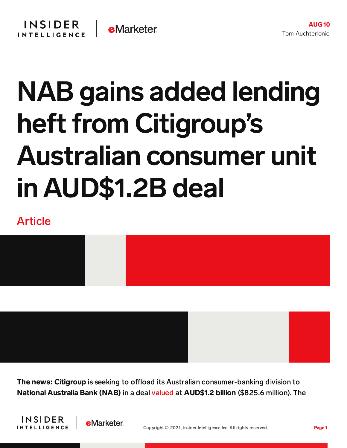## NAB gains added lending heft from Citigroup's Australian consumer unit in AUD\$1.2B deal

## Article



The news: Citigroup is seeking to offload its Australian consumer-banking division to National Australia Bank (NAB) in a deal [valued](https://news.nab.com.au/news_room_posts/nab-announces-agreement-to-acquire-citigroups-australian-consumer-business/) at AUD\$1.2 billion (\$825.6 million). The